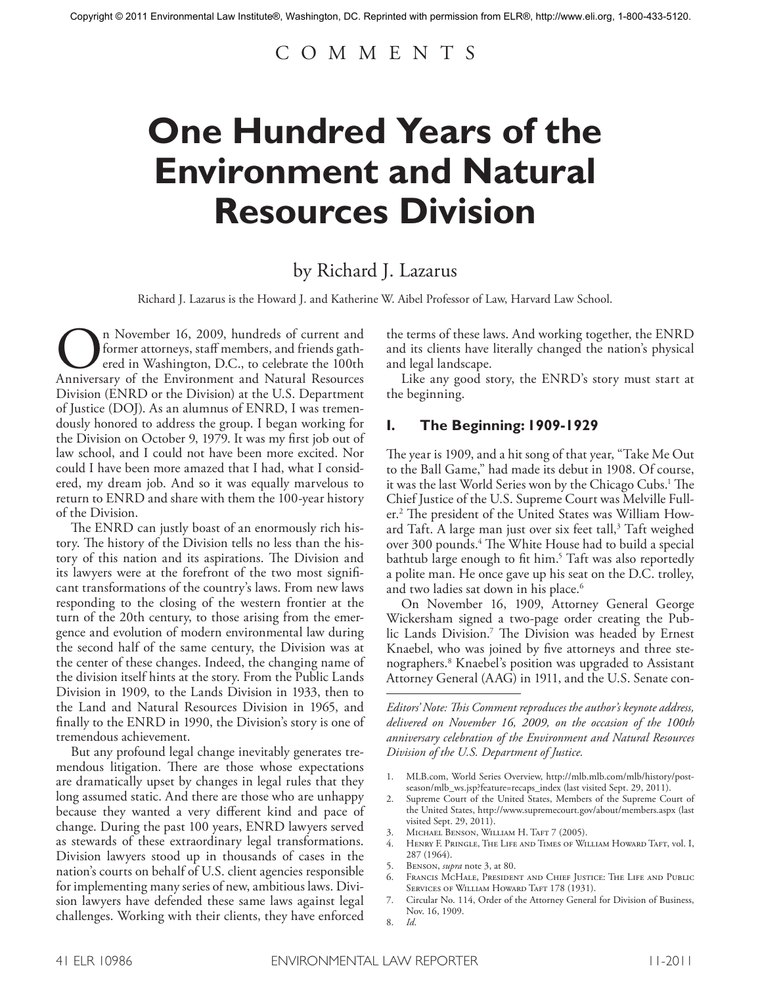## C O M M E N T S

# **One Hundred Years of the Environment and Natural Resources Division**

## by Richard J. Lazarus

Richard J. Lazarus is the Howard J. and Katherine W. Aibel Professor of Law, Harvard Law School.

On November 16, 2009, hundreds of current and former attorneys, staff members, and friends gathered in Washington, D.C., to celebrate the 100th Anniversary of the Environment and Natural Resources former attorneys, staff members, and friends gathered in Washington, D.C., to celebrate the 100th Division (ENRD or the Division) at the U.S. Department of Justice (DOJ). As an alumnus of ENRD, I was tremendously honored to address the group. I began working for the Division on October 9, 1979. It was my first job out of law school, and I could not have been more excited. Nor could I have been more amazed that I had, what I considered, my dream job. And so it was equally marvelous to return to ENRD and share with them the 100-year history of the Division.

The ENRD can justly boast of an enormously rich history. The history of the Division tells no less than the history of this nation and its aspirations. The Division and its lawyers were at the forefront of the two most significant transformations of the country's laws. From new laws responding to the closing of the western frontier at the turn of the 20th century, to those arising from the emergence and evolution of modern environmental law during the second half of the same century, the Division was at the center of these changes. Indeed, the changing name of the division itself hints at the story. From the Public Lands Division in 1909, to the Lands Division in 1933, then to the Land and Natural Resources Division in 1965, and finally to the ENRD in 1990, the Division's story is one of tremendous achievement.

But any profound legal change inevitably generates tremendous litigation. There are those whose expectations are dramatically upset by changes in legal rules that they long assumed static. And there are those who are unhappy because they wanted a very different kind and pace of change. During the past 100 years, ENRD lawyers served as stewards of these extraordinary legal transformations. Division lawyers stood up in thousands of cases in the nation's courts on behalf of U.S. client agencies responsible for implementing many series of new, ambitious laws. Division lawyers have defended these same laws against legal challenges. Working with their clients, they have enforced

the terms of these laws. And working together, the ENRD and its clients have literally changed the nation's physical and legal landscape.

Like any good story, the ENRD's story must start at the beginning.

#### **I. The Beginning: 1909-1929**

The year is 1909, and a hit song of that year, "Take Me Out to the Ball Game," had made its debut in 1908. Of course, it was the last World Series won by the Chicago Cubs. <sup>1</sup> The Chief Justice of the U.S. Supreme Court was Melville Fuller. <sup>2</sup> The president of the United States was William Howard Taft. A large man just over six feet tall, $3$  Taft weighed over 300 pounds. <sup>4</sup> The White House had to build a special bathtub large enough to fit him. <sup>5</sup> Taft was also reportedly a polite man. He once gave up his seat on the D.C. trolley, and two ladies sat down in his place. 6

On November 16, 1909, Attorney General George Wickersham signed a two-page order creating the Public Lands Division. <sup>7</sup> The Division was headed by Ernest Knaebel, who was joined by five attorneys and three stenographers. <sup>8</sup> Knaebel's position was upgraded to Assistant Attorney General (AAG) in 1911, and the U.S. Senate con-

*Editors' Note: This Comment reproduces the author's keynote address, delivered on November 16, 2009, on the occasion of the 100th anniversary celebration of the Environment and Natural Resources Division of the U.S. Department of Justice.*

- 1. MLB.com, World Series Overview, http://mlb.mlb.com/mlb/history/postseason/mlb\_ws.jsp?feature=recaps\_index (last visited Sept. 29, 2011).
- 2. Supreme Court of the United States, Members of the Supreme Court of the United States, http://www.supremecourt.gov/about/members.aspx (last visited Sept. 29, 2011).
- 3. MICHAEL BENSON, WILLIAM H. TAFT 7 (2005).
- 4. Henry F. Pringle, The Life and Times of William Howard Taft, vol. I, 287 (1964).
- 5. Benson, *supra* note 3, at 80.
- 6. Francis McHale, President and Chief Justice: The Life and Public SERVICES OF WILLIAM HOWARD TAFT 178 (1931).
- 7. Circular No. 114, Order of the Attorney General for Division of Business, Nov. 16, 1909.
- 8. *Id*.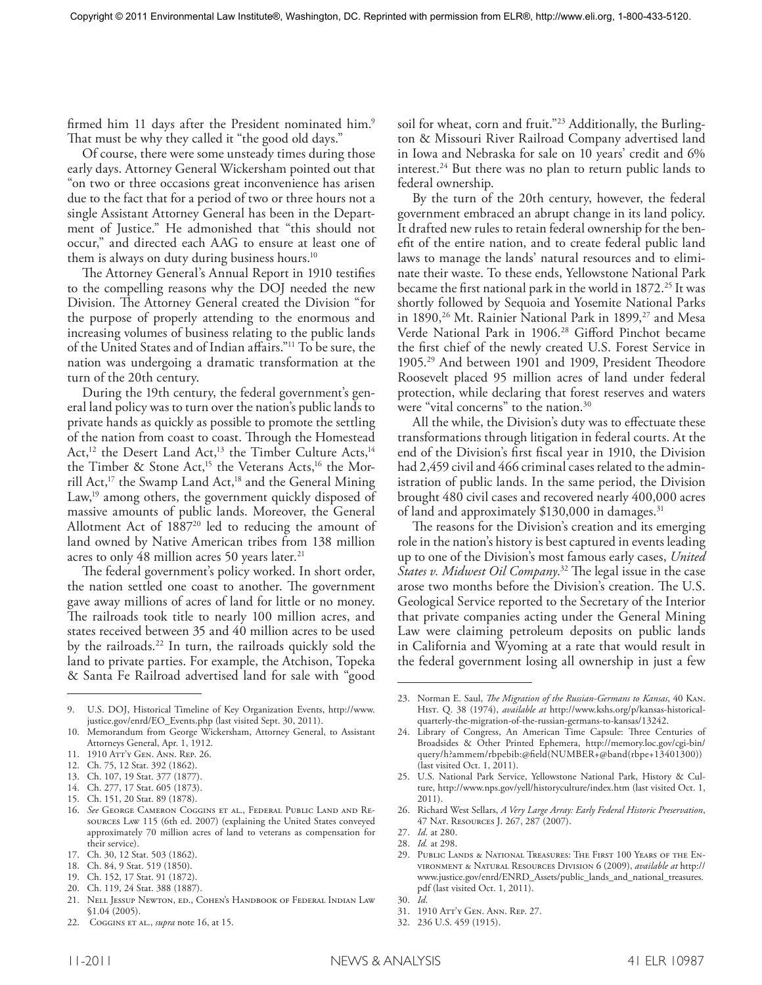firmed him 11 days after the President nominated him.<sup>9</sup> That must be why they called it "the good old days."

Of course, there were some unsteady times during those early days. Attorney General Wickersham pointed out that "on two or three occasions great inconvenience has arisen due to the fact that for a period of two or three hours not a single Assistant Attorney General has been in the Department of Justice." He admonished that "this should not occur," and directed each AAG to ensure at least one of them is always on duty during business hours. 10

The Attorney General's Annual Report in 1910 testifies to the compelling reasons why the DOJ needed the new Division. The Attorney General created the Division "for the purpose of properly attending to the enormous and increasing volumes of business relating to the public lands of the United States and of Indian affairs."11 To be sure, the nation was undergoing a dramatic transformation at the turn of the 20th century.

During the 19th century, the federal government's general land policy was to turn over the nation's public lands to private hands as quickly as possible to promote the settling of the nation from coast to coast. Through the Homestead Act,<sup>12</sup> the Desert Land Act,<sup>13</sup> the Timber Culture Acts,<sup>14</sup> the Timber & Stone Act,<sup>15</sup> the Veterans Acts,<sup>16</sup> the Morrill Act,<sup>17</sup> the Swamp Land Act,<sup>18</sup> and the General Mining Law,<sup>19</sup> among others, the government quickly disposed of massive amounts of public lands. Moreover, the General Allotment Act of  $1887^{20}$  led to reducing the amount of land owned by Native American tribes from 138 million acres to only 48 million acres 50 years later. 21

The federal government's policy worked. In short order, the nation settled one coast to another. The government gave away millions of acres of land for little or no money. The railroads took title to nearly 100 million acres, and states received between 35 and 40 million acres to be used by the railroads. <sup>22</sup> In turn, the railroads quickly sold the land to private parties. For example, the Atchison, Topeka & Santa Fe Railroad advertised land for sale with "good

9. U.S. DOJ, Historical Timeline of Key Organization Events, http://www. justice.gov/enrd/EO\_Events.php (last visited Sept. 30, 2011).

- 11. 1910 Att'y Gen. Ann. Rep. 26.
- 12. Ch. 75, 12 Stat. 392 (1862).
- 13. Ch. 107, 19 Stat. 377 (1877).
- 14. Ch. 277, 17 Stat. 605 (1873).
- 15. Ch. 151, 20 Stat. 89 (1878).

- 17. Ch. 30, 12 Stat. 503 (1862).
- 18. Ch. 84, 9 Stat. 519 (1850).
- 19. Ch. 152, 17 Stat. 91 (1872).
- 20. Ch. 119, 24 Stat. 388 (1887).
- 21. Nell Jessup Newton, ed., Cohen's Handbook of Federal Indian Law §1.04 (2005).
- 22. Coggins et al., *supra* note 16, at 15.

soil for wheat, corn and fruit."<sup>23</sup> Additionally, the Burlington & Missouri River Railroad Company advertised land in Iowa and Nebraska for sale on 10 years' credit and 6% interest. <sup>24</sup> But there was no plan to return public lands to federal ownership.

By the turn of the 20th century, however, the federal government embraced an abrupt change in its land policy. It drafted new rules to retain federal ownership for the benefit of the entire nation, and to create federal public land laws to manage the lands' natural resources and to eliminate their waste. To these ends, Yellowstone National Park became the first national park in the world in 1872.<sup>25</sup> It was shortly followed by Sequoia and Yosemite National Parks in 1890,<sup>26</sup> Mt. Rainier National Park in 1899,<sup>27</sup> and Mesa Verde National Park in 1906. <sup>28</sup> Gifford Pinchot became the first chief of the newly created U.S. Forest Service in 1905. <sup>29</sup> And between 1901 and 1909, President Theodore Roosevelt placed 95 million acres of land under federal protection, while declaring that forest reserves and waters were "vital concerns" to the nation. 30

All the while, the Division's duty was to effectuate these transformations through litigation in federal courts. At the end of the Division's first fiscal year in 1910, the Division had 2,459 civil and 466 criminal cases related to the administration of public lands. In the same period, the Division brought 480 civil cases and recovered nearly 400,000 acres of land and approximately \$130,000 in damages. 31

The reasons for the Division's creation and its emerging role in the nation's history is best captured in events leading up to one of the Division's most famous early cases, *United States v. Midwest Oil Company*. <sup>32</sup> The legal issue in the case arose two months before the Division's creation. The U.S. Geological Service reported to the Secretary of the Interior that private companies acting under the General Mining Law were claiming petroleum deposits on public lands in California and Wyoming at a rate that would result in the federal government losing all ownership in just a few

- 26. Richard West Sellars, *A Very Large Array: Early Federal Historic Preservation*, 47 Nat. Resources J. 267, 287 (2007).
- 27. *Id*. at 280.
- 28. *Id.* at 298.
- 29. Public Lands & National Treasures: The First 100 Years of the Environment & Natural Resources Division 6 (2009), *available at* http:// www.justice.gov/enrd/ENRD\_Assets/public\_lands\_and\_national\_treasures. pdf (last visited Oct. 1, 2011).
- 30. *Id*.
- 31. 1910 Att'y Gen. Ann. Rep. 27.
- 32. 236 U.S. 459 (1915).

<sup>10.</sup> Memorandum from George Wickersham, Attorney General, to Assistant Attorneys General, Apr. 1, 1912.

<sup>16.</sup> *See* George Cameron Coggins et al., Federal Public Land and Resources Law 115 (6th ed. 2007) (explaining the United States conveyed approximately 70 million acres of land to veterans as compensation for their service).

<sup>23.</sup> Norman E. Saul, *The Migration of the Russian-Germans to Kansas*, 40 Kan. Hist. Q. 38 (1974), *available at* http://www.kshs.org/p/kansas-historicalquarterly-the-migration-of-the-russian-germans-to-kansas/13242.

<sup>24.</sup> Library of Congress, An American Time Capsule: Three Centuries of Broadsides & Other Printed Ephemera, http://memory.loc.gov/cgi-bin/ query/h?ammem/rbpebib:@field(NUMBER+@band(rbpe+13401300)) (last visited Oct. 1, 2011).

<sup>25.</sup> U.S. National Park Service, Yellowstone National Park, History & Culture, http://www.nps.gov/yell/historyculture/index.htm (last visited Oct. 1, 2011).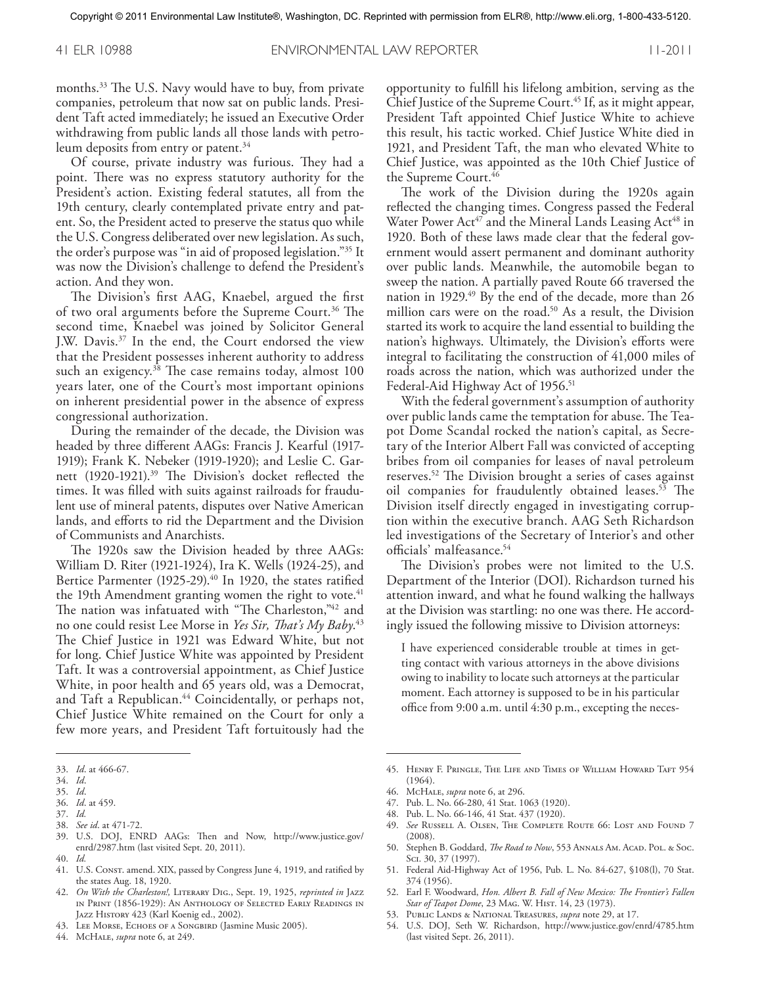41 ELR 10988 ENVIRONMENTAL LAW REPORTER 11-2011

months. <sup>33</sup> The U.S. Navy would have to buy, from private companies, petroleum that now sat on public lands. President Taft acted immediately; he issued an Executive Order withdrawing from public lands all those lands with petroleum deposits from entry or patent. 34

Of course, private industry was furious. They had a point. There was no express statutory authority for the President's action. Existing federal statutes, all from the 19th century, clearly contemplated private entry and patent. So, the President acted to preserve the status quo while the U.S. Congress deliberated over new legislation. As such, the order's purpose was "in aid of proposed legislation."35 It was now the Division's challenge to defend the President's action. And they won.

The Division's first AAG, Knaebel, argued the first of two oral arguments before the Supreme Court. <sup>36</sup> The second time, Knaebel was joined by Solicitor General J.W. Davis. <sup>37</sup> In the end, the Court endorsed the view that the President possesses inherent authority to address such an exigency. <sup>38</sup> The case remains today, almost 100 years later, one of the Court's most important opinions on inherent presidential power in the absence of express congressional authorization.

During the remainder of the decade, the Division was headed by three different AAGs: Francis J. Kearful (1917- 1919); Frank K. Nebeker (1919-1920); and Leslie C. Garnett (1920-1921). <sup>39</sup> The Division's docket reflected the times. It was filled with suits against railroads for fraudulent use of mineral patents, disputes over Native American lands, and efforts to rid the Department and the Division of Communists and Anarchists.

The 1920s saw the Division headed by three AAGs: William D. Riter (1921-1924), Ira K. Wells (1924-25), and Bertice Parmenter (1925-29). <sup>40</sup> In 1920, the states ratified the 19th Amendment granting women the right to vote. 41 The nation was infatuated with "The Charleston,"<sup>42</sup> and no one could resist Lee Morse in *Yes Sir, That's My Baby*. 43 The Chief Justice in 1921 was Edward White, but not for long. Chief Justice White was appointed by President Taft. It was a controversial appointment, as Chief Justice White, in poor health and 65 years old, was a Democrat, and Taft a Republican. <sup>44</sup> Coincidentally, or perhaps not, Chief Justice White remained on the Court for only a few more years, and President Taft fortuitously had the

- 35. *Id*.
- 36. *Id*. at 459. 37. *Id.*
- 38. *See id*. at 471-72.
- 39. U.S. DOJ, ENRD AAGs: Then and Now, http://www.justice.gov/ enrd/2987.htm (last visited Sept. 20, 2011).
- 40. *Id.*
- 41. U.S. Consr. amend. XIX, passed by Congress June 4, 1919, and ratified by the states Aug. 18, 1920.
- 42. *On With the Charleston!,* Literary Dig., Sept. 19, 1925, *reprinted in* Jazz in Print (1856-1929): An Anthology of Selected Early Readings in JAZZ HISTORY 423 (Karl Koenig ed., 2002).
- 43. Lee Morse, Echoes of a Songbird (Jasmine Music 2005).
- 44. McHale, *supra* note 6, at 249.

opportunity to fulfill his lifelong ambition, serving as the Chief Justice of the Supreme Court. <sup>45</sup> If, as it might appear, President Taft appointed Chief Justice White to achieve this result, his tactic worked. Chief Justice White died in 1921, and President Taft, the man who elevated White to Chief Justice, was appointed as the 10th Chief Justice of the Supreme Court. 46

The work of the Division during the 1920s again reflected the changing times. Congress passed the Federal Water Power  $Act^{47}$  and the Mineral Lands Leasing  $Act^{48}$  in 1920. Both of these laws made clear that the federal government would assert permanent and dominant authority over public lands. Meanwhile, the automobile began to sweep the nation. A partially paved Route 66 traversed the nation in 1929. <sup>49</sup> By the end of the decade, more than 26 million cars were on the road. <sup>50</sup> As a result, the Division started its work to acquire the land essential to building the nation's highways. Ultimately, the Division's efforts were integral to facilitating the construction of 41,000 miles of roads across the nation, which was authorized under the Federal-Aid Highway Act of 1956. 51

With the federal government's assumption of authority over public lands came the temptation for abuse. The Teapot Dome Scandal rocked the nation's capital, as Secretary of the Interior Albert Fall was convicted of accepting bribes from oil companies for leases of naval petroleum reserves. <sup>52</sup> The Division brought a series of cases against oil companies for fraudulently obtained leases. <sup>53</sup> The Division itself directly engaged in investigating corruption within the executive branch. AAG Seth Richardson led investigations of the Secretary of Interior's and other officials' malfeasance. 54

The Division's probes were not limited to the U.S. Department of the Interior (DOI). Richardson turned his attention inward, and what he found walking the hallways at the Division was startling: no one was there. He accordingly issued the following missive to Division attorneys:

I have experienced considerable trouble at times in getting contact with various attorneys in the above divisions owing to inability to locate such attorneys at the particular moment. Each attorney is supposed to be in his particular office from 9:00 a.m. until 4:30 p.m., excepting the neces-

- 47. Pub. L. No. 66-280, 41 Stat. 1063 (1920).
- 48. Pub. L. No. 66-146, 41 Stat. 437 (1920).
- 49. *See* Russell A. Olsen, The Complete Route 66: Lost and Found 7 (2008).
- 50. Stephen B. Goddard, *The Road to Now*, 553 Annals Am. Acad. Pol. & Soc. Sci. 30, 37 (1997).
- 51. Federal Aid-Highway Act of 1956, Pub. L. No. 84-627, §108(l), 70 Stat. 374 (1956).
- 52. Earl F. Woodward, *Hon. Albert B. Fall of New Mexico: The Frontier's Fallen Star of Teapot Dome*, 23 Mag. W. Hist. 14, 23 (1973).
- 53. Public Lands & National Treasures, *supra* note 29, at 17.
- 54. U.S. DOJ, Seth W. Richardson, http://www.justice.gov/enrd/4785.htm (last visited Sept. 26, 2011).

<sup>33.</sup> *Id*. at 466-67.

<sup>34.</sup> *Id*.

<sup>45.</sup> Henry F. Pringle, The Life and Times of William Howard Taft 954 (1964).

<sup>46.</sup> McHale, *supra* note 6, at 296.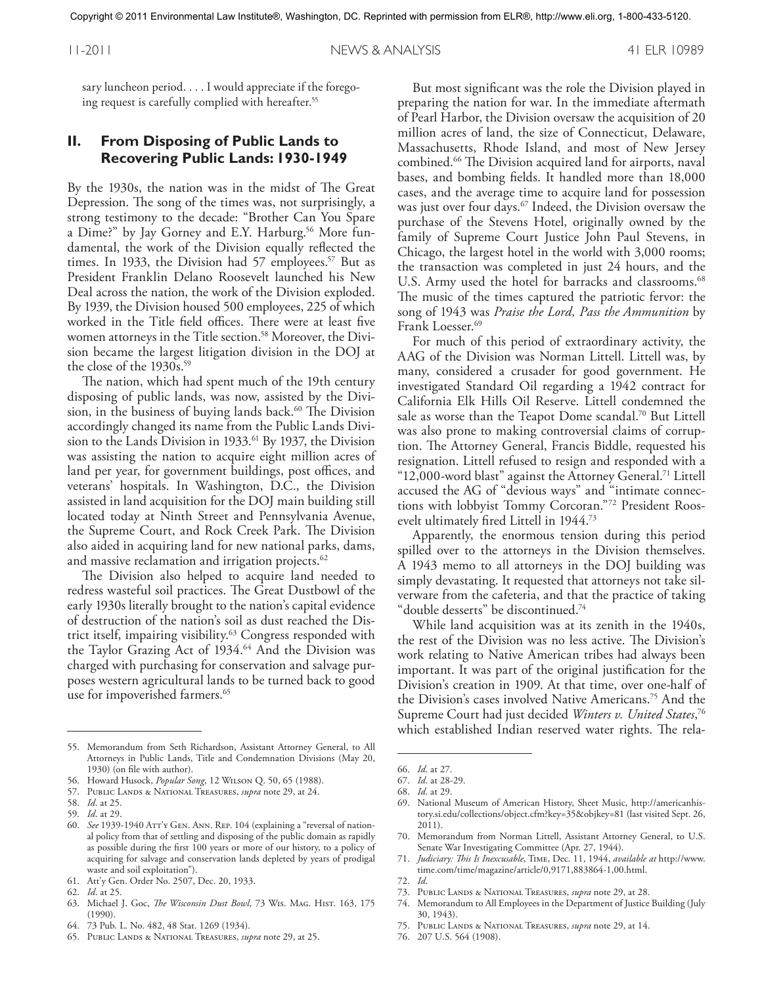sary luncheon period.... I would appreciate if the foregoing request is carefully complied with hereafter. 55

#### **II. From Disposing of Public Lands to Recovering Public Lands: 1930-1949**

By the 1930s, the nation was in the midst of The Great Depression. The song of the times was, not surprisingly, a strong testimony to the decade: "Brother Can You Spare a Dime?" by Jay Gorney and E.Y. Harburg. <sup>56</sup> More fundamental, the work of the Division equally reflected the times. In 1933, the Division had 57 employees. <sup>57</sup> But as President Franklin Delano Roosevelt launched his New Deal across the nation, the work of the Division exploded. By 1939, the Division housed 500 employees, 225 of which worked in the Title field offices. There were at least five women attorneys in the Title section. <sup>58</sup> Moreover, the Division became the largest litigation division in the DOJ at the close of the 1930s. 59

The nation, which had spent much of the 19th century disposing of public lands, was now, assisted by the Division, in the business of buying lands back. <sup>60</sup> The Division accordingly changed its name from the Public Lands Division to the Lands Division in 1933. <sup>61</sup> By 1937, the Division was assisting the nation to acquire eight million acres of land per year, for government buildings, post offices, and veterans' hospitals. In Washington, D.C., the Division assisted in land acquisition for the DOJ main building still located today at Ninth Street and Pennsylvania Avenue, the Supreme Court, and Rock Creek Park. The Division also aided in acquiring land for new national parks, dams, and massive reclamation and irrigation projects. $^{62}$ 

The Division also helped to acquire land needed to redress wasteful soil practices. The Great Dustbowl of the early 1930s literally brought to the nation's capital evidence of destruction of the nation's soil as dust reached the District itself, impairing visibility. <sup>63</sup> Congress responded with the Taylor Grazing Act of 1934. <sup>64</sup> And the Division was charged with purchasing for conservation and salvage purposes western agricultural lands to be turned back to good use for impoverished farmers. 65

But most significant was the role the Division played in preparing the nation for war. In the immediate aftermath of Pearl Harbor, the Division oversaw the acquisition of 20 million acres of land, the size of Connecticut, Delaware, Massachusetts, Rhode Island, and most of New Jersey combined. <sup>66</sup> The Division acquired land for airports, naval bases, and bombing fields. It handled more than 18,000 cases, and the average time to acquire land for possession was just over four days. $^{\rm {\tiny (7)}}$  Indeed, the Division oversaw the purchase of the Stevens Hotel, originally owned by the family of Supreme Court Justice John Paul Stevens, in Chicago, the largest hotel in the world with 3,000 rooms; the transaction was completed in just 24 hours, and the U.S. Army used the hotel for barracks and classrooms. 68 The music of the times captured the patriotic fervor: the song of 1943 was *Praise the Lord, Pass the Ammunition* by Frank Loesser. 69

For much of this period of extraordinary activity, the AAG of the Division was Norman Littell. Littell was, by many, considered a crusader for good government. He investigated Standard Oil regarding a 1942 contract for California Elk Hills Oil Reserve. Littell condemned the sale as worse than the Teapot Dome scandal. <sup>70</sup> But Littell was also prone to making controversial claims of corruption. The Attorney General, Francis Biddle, requested his resignation. Littell refused to resign and responded with a "12,000-word blast" against the Attorney General. <sup>71</sup> Littell accused the AG of "devious ways" and "intimate connections with lobbyist Tommy Corcoran."72 President Roosevelt ultimately fired Littell in 1944. 73

Apparently, the enormous tension during this period spilled over to the attorneys in the Division themselves. A 1943 memo to all attorneys in the DOJ building was simply devastating. It requested that attorneys not take silverware from the cafeteria, and that the practice of taking "double desserts" be discontinued. 74

While land acquisition was at its zenith in the 1940s, the rest of the Division was no less active. The Division's work relating to Native American tribes had always been important. It was part of the original justification for the Division's creation in 1909. At that time, over one-half of the Division's cases involved Native Americans. <sup>75</sup> And the Supreme Court had just decided *Winters v. United States*, 76 which established Indian reserved water rights. The rela-

72. *Id*.

- 75. Public Lands & National Treasures, *supra* note 29, at 14.
- 76. 207 U.S. 564 (1908).

<sup>55.</sup> Memorandum from Seth Richardson, Assistant Attorney General, to All Attorneys in Public Lands, Title and Condemnation Divisions (May 20, 1930) (on file with author).

<sup>56.</sup> Howard Husock, *Popular Song*, 12 Wilson Q. 50, 65 (1988).

<sup>57.</sup> Public Lands & National Treasures, *supra* note 29, at 24.

<sup>58.</sup> *Id*. at 25.

<sup>59.</sup> *Id*. at 29.

<sup>60.</sup> *See* 1939-1940 Att'y Gen. Ann. Rep. 104 (explaining a "reversal of national policy from that of settling and disposing of the public domain as rapidly as possible during the first 100 years or more of our history, to a policy of acquiring for salvage and conservation lands depleted by years of prodigal waste and soil exploitation").

<sup>61.</sup> Att'y Gen. Order No. 2507, Dec. 20, 1933.

<sup>62.</sup> *Id*. at 25.

<sup>63.</sup> Michael J. Goc, *The Wisconsin Dust Bowl*, 73 Wis. Mag. Hist. 163, 175 (1990).

<sup>64.</sup> 73 Pub. L. No. 482, 48 Stat. 1269 (1934).

<sup>65.</sup> Public Lands & National Treasures, *supra* note 29, at 25.

<sup>66.</sup> *Id*. at 27.

<sup>67.</sup> *Id*. at 28-29.

<sup>68.</sup> *Id*. at 29.

<sup>69.</sup> National Museum of American History, Sheet Music, http://americanhistory.si.edu/collections/object.cfm?key=35&objkey=81 (last visited Sept. 26, 2011).

<sup>70.</sup> Memorandum from Norman Littell, Assistant Attorney General, to U.S. Senate War Investigating Committee (Apr. 27, 1944).

<sup>71.</sup> *Judiciary: This Is Inexcusable*, Time, Dec. 11, 1944, *available at* http://www. time.com/time/magazine/article/0,9171,883864-1,00.html.

<sup>73.</sup> Public Lands & National Treasures, *supra* note 29, at 28.

<sup>74.</sup> Memorandum to All Employees in the Department of Justice Building (July 30, 1943).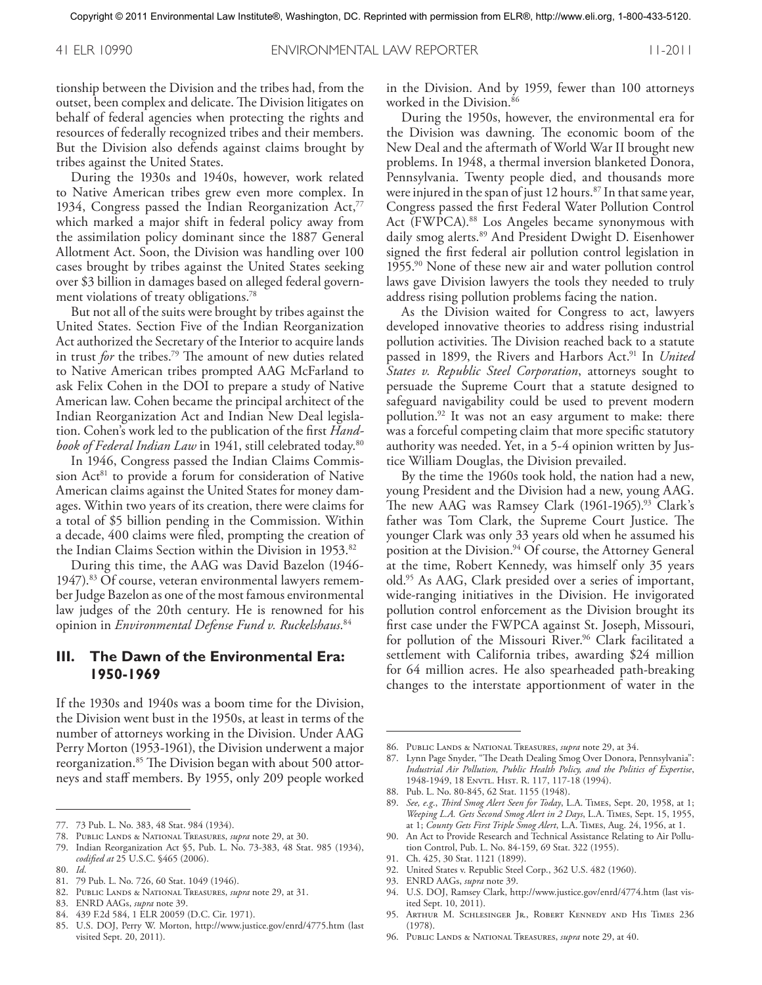tionship between the Division and the tribes had, from the outset, been complex and delicate. The Division litigates on behalf of federal agencies when protecting the rights and resources of federally recognized tribes and their members. But the Division also defends against claims brought by tribes against the United States.

During the 1930s and 1940s, however, work related to Native American tribes grew even more complex. In 1934, Congress passed the Indian Reorganization Act,<sup>77</sup> which marked a major shift in federal policy away from the assimilation policy dominant since the 1887 General Allotment Act. Soon, the Division was handling over 100 cases brought by tribes against the United States seeking over \$3 billion in damages based on alleged federal government violations of treaty obligations. 78

But not all of the suits were brought by tribes against the United States. Section Five of the Indian Reorganization Act authorized the Secretary of the Interior to acquire lands in trust *for* the tribes. <sup>79</sup> The amount of new duties related to Native American tribes prompted AAG McFarland to ask Felix Cohen in the DOI to prepare a study of Native American law. Cohen became the principal architect of the Indian Reorganization Act and Indian New Deal legislation. Cohen's work led to the publication of the first *Handbook of Federal Indian Law* in 1941, still celebrated today. 80

In 1946, Congress passed the Indian Claims Commission Act<sup>81</sup> to provide a forum for consideration of Native American claims against the United States for money damages. Within two years of its creation, there were claims for a total of \$5 billion pending in the Commission. Within a decade, 400 claims were filed, prompting the creation of the Indian Claims Section within the Division in 1953. 82

During this time, the AAG was David Bazelon (1946- 1947). <sup>83</sup> Of course, veteran environmental lawyers remember Judge Bazelon as one of the most famous environmental law judges of the 20th century. He is renowned for his opinion in *Environmental Defense Fund v. Ruckelshaus*. 84

#### **III. The Dawn of the Environmental Era: 1950-1969**

If the 1930s and 1940s was a boom time for the Division, the Division went bust in the 1950s, at least in terms of the number of attorneys working in the Division. Under AAG Perry Morton (1953-1961), the Division underwent a major reorganization. <sup>85</sup> The Division began with about 500 attorneys and staff members. By 1955, only 209 people worked

79. Indian Reorganization Act §5, Pub. L. No. 73-383, 48 Stat. 985 (1934), *codified at* 25 U.S.C. §465 (2006).

- 81. 79 Pub. L. No. 726, 60 Stat. 1049 (1946).
- 82. Public Lands & National Treasures, *supra* note 29, at 31.
- 83. ENRD AAGs, *supra* note 39.
- 84. 439 F.2d 584, 1 ELR 20059 (D.C. Cir. 1971).
- 85. U.S. DOJ, Perry W. Morton, http://www.justice.gov/enrd/4775.htm (last visited Sept. 20, 2011).

in the Division. And by 1959, fewer than 100 attorneys worked in the Division. 86

During the 1950s, however, the environmental era for the Division was dawning. The economic boom of the New Deal and the aftermath of World War II brought new problems. In 1948, a thermal inversion blanketed Donora, Pennsylvania. Twenty people died, and thousands more were injured in the span of just 12 hours. $^{\mathrm{87}}$  In that same year, Congress passed the first Federal Water Pollution Control Act (FWPCA). <sup>88</sup> Los Angeles became synonymous with daily smog alerts. <sup>89</sup> And President Dwight D. Eisenhower signed the first federal air pollution control legislation in 1955. <sup>90</sup> None of these new air and water pollution control laws gave Division lawyers the tools they needed to truly address rising pollution problems facing the nation.

As the Division waited for Congress to act, lawyers developed innovative theories to address rising industrial pollution activities. The Division reached back to a statute passed in 1899, the Rivers and Harbors Act. <sup>91</sup> In *United States v. Republic Steel Corporation*, attorneys sought to persuade the Supreme Court that a statute designed to safeguard navigability could be used to prevent modern pollution. <sup>92</sup> It was not an easy argument to make: there was a forceful competing claim that more specific statutory authority was needed. Yet, in a 5-4 opinion written by Justice William Douglas, the Division prevailed.

By the time the 1960s took hold, the nation had a new, young President and the Division had a new, young AAG. The new AAG was Ramsey Clark (1961-1965). <sup>93</sup> Clark's father was Tom Clark, the Supreme Court Justice. The younger Clark was only 33 years old when he assumed his position at the Division. <sup>94</sup> Of course, the Attorney General at the time, Robert Kennedy, was himself only 35 years old. <sup>95</sup> As AAG, Clark presided over a series of important, wide-ranging initiatives in the Division. He invigorated pollution control enforcement as the Division brought its first case under the FWPCA against St. Joseph, Missouri, for pollution of the Missouri River. <sup>96</sup> Clark facilitated a settlement with California tribes, awarding \$24 million for 64 million acres. He also spearheaded path-breaking changes to the interstate apportionment of water in the

88. Pub. L. No. 80-845, 62 Stat. 1155 (1948).

- 92. United States v. Republic Steel Corp., 362 U.S. 482 (1960).
- 93. ENRD AAGs, *supra* note 39.
- 94. U.S. DOJ, Ramsey Clark, http://www.justice.gov/enrd/4774.htm (last visited Sept. 10, 2011).
- 95. Arthur M. Schlesinger Jr., Robert Kennedy and His Times 236 (1978).
- 96. Public Lands & National Treasures, *supra* note 29, at 40.

<sup>77.</sup> 73 Pub. L. No. 383, 48 Stat. 984 (1934).

<sup>78.</sup> Public Lands & National Treasures, *supra* note 29, at 30.

<sup>80.</sup> *Id*.

<sup>86.</sup> Public Lands & National Treasures, *supra* note 29, at 34.

<sup>87.</sup> Lynn Page Snyder, "The Death Dealing Smog Over Donora, Pennsylvania": *Industrial Air Pollution, Public Health Policy, and the Politics of Expertise*, 1948-1949, 18 Envtl. Hist. R. 117, 117-18 (1994).

<sup>89.</sup> *See, e.g*., *Third Smog Alert Seen for Today*, L.A. Times, Sept. 20, 1958, at 1; *Weeping L.A. Gets Second Smog Alert in 2 Days*, L.A. Times, Sept. 15, 1955, at 1; *County Gets First Triple Smog Alert*, L.A. Times, Aug. 24, 1956, at 1.

<sup>90.</sup> An Act to Provide Research and Technical Assistance Relating to Air Pollution Control, Pub. L. No. 84-159, 69 Stat. 322 (1955).

<sup>91.</sup> Ch. 425, 30 Stat. 1121 (1899).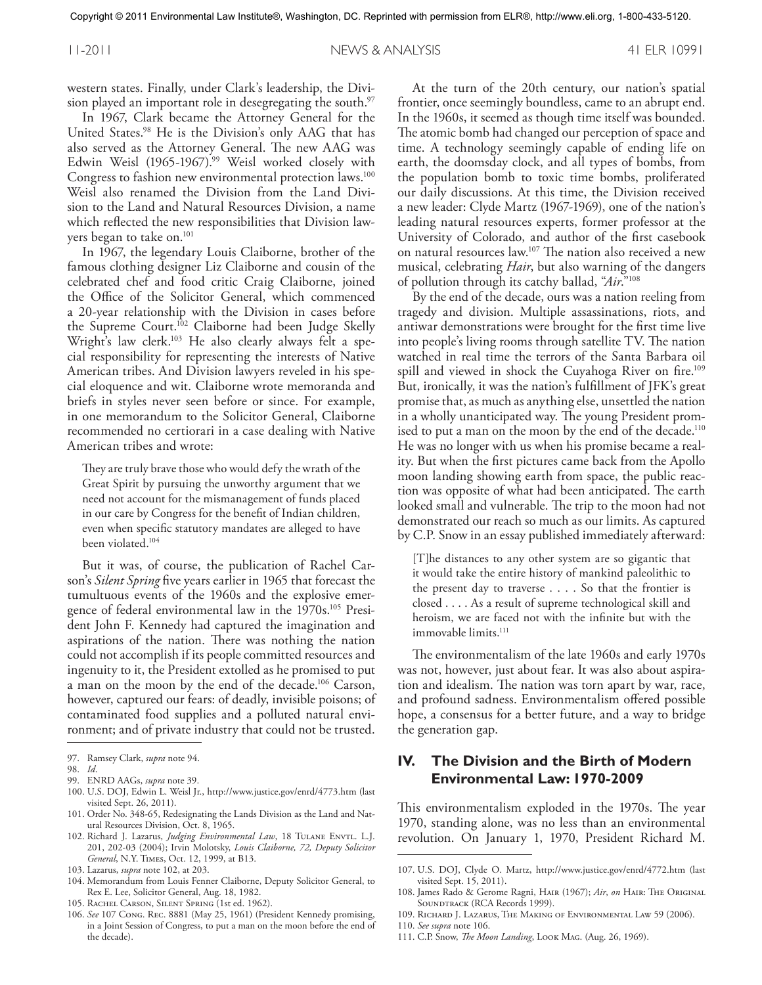western states. Finally, under Clark's leadership, the Division played an important role in desegregating the south. 97

In 1967, Clark became the Attorney General for the United States. <sup>98</sup> He is the Division's only AAG that has also served as the Attorney General. The new AAG was Edwin Weisl (1965-1967). <sup>99</sup> Weisl worked closely with Congress to fashion new environmental protection laws.<sup>100</sup> Weisl also renamed the Division from the Land Division to the Land and Natural Resources Division, a name which reflected the new responsibilities that Division lawyers began to take on. 101

In 1967, the legendary Louis Claiborne, brother of the famous clothing designer Liz Claiborne and cousin of the celebrated chef and food critic Craig Claiborne, joined the Office of the Solicitor General, which commenced a 20-year relationship with the Division in cases before the Supreme Court. <sup>102</sup> Claiborne had been Judge Skelly Wright's law clerk. <sup>103</sup> He also clearly always felt a special responsibility for representing the interests of Native American tribes. And Division lawyers reveled in his special eloquence and wit. Claiborne wrote memoranda and briefs in styles never seen before or since. For example, in one memorandum to the Solicitor General, Claiborne recommended no certiorari in a case dealing with Native American tribes and wrote:

They are truly brave those who would defy the wrath of the Great Spirit by pursuing the unworthy argument that we need not account for the mismanagement of funds placed in our care by Congress for the benefit of Indian children, even when specific statutory mandates are alleged to have been violated. 104

But it was, of course, the publication of Rachel Carson's *Silent Spring* five years earlier in 1965 that forecast the tumultuous events of the 1960s and the explosive emergence of federal environmental law in the 1970s. <sup>105</sup> President John F. Kennedy had captured the imagination and aspirations of the nation. There was nothing the nation could not accomplish if its people committed resources and ingenuity to it, the President extolled as he promised to put a man on the moon by the end of the decade. <sup>106</sup> Carson, however, captured our fears: of deadly, invisible poisons; of contaminated food supplies and a polluted natural environment; and of private industry that could not be trusted.

100. U.S. DOJ, Edwin L. Weisl Jr., http://www.justice.gov/enrd/4773.htm (last visited Sept. 26, 2011).

- 102. Richard J. Lazarus, *Judging Environmental Law*, 18 Tulane Envtl. L.J. 201, 202-03 (2004); Irvin Molotsky, *Louis Claiborne, 72, Deputy Solicitor General*, N.Y. Times, Oct. 12, 1999, at B13.
- 103. Lazarus, *supra* note 102, at 203.

105. Rachel Carson, Silent Spring (1st ed. 1962).

At the turn of the 20th century, our nation's spatial frontier, once seemingly boundless, came to an abrupt end. In the 1960s, it seemed as though time itself was bounded. The atomic bomb had changed our perception of space and time. A technology seemingly capable of ending life on earth, the doomsday clock, and all types of bombs, from the population bomb to toxic time bombs, proliferated our daily discussions. At this time, the Division received a new leader: Clyde Martz (1967-1969), one of the nation's leading natural resources experts, former professor at the University of Colorado, and author of the first casebook on natural resources law. <sup>107</sup> The nation also received a new musical, celebrating *Hair*, but also warning of the dangers of pollution through its catchy ballad, "*Air*."108

By the end of the decade, ours was a nation reeling from tragedy and division. Multiple assassinations, riots, and antiwar demonstrations were brought for the first time live into people's living rooms through satellite TV. The nation watched in real time the terrors of the Santa Barbara oil spill and viewed in shock the Cuyahoga River on fire. 109 But, ironically, it was the nation's fulfillment of JFK's great promise that, as much as anything else, unsettled the nation in a wholly unanticipated way. The young President promised to put a man on the moon by the end of the decade. 110 He was no longer with us when his promise became a reality. But when the first pictures came back from the Apollo moon landing showing earth from space, the public reaction was opposite of what had been anticipated. The earth looked small and vulnerable. The trip to the moon had not demonstrated our reach so much as our limits. As captured by C.P. Snow in an essay published immediately afterward:

[T]he distances to any other system are so gigantic that it would take the entire history of mankind paleolithic to the present day to traverse .... So that the frontier is closed .... As a result of supreme technological skill and heroism, we are faced not with the infinite but with the immovable limits. 111

The environmentalism of the late 1960s and early 1970s was not, however, just about fear. It was also about aspiration and idealism. The nation was torn apart by war, race, and profound sadness. Environmentalism offered possible hope, a consensus for a better future, and a way to bridge the generation gap.

#### **IV. The Division and the Birth of Modern Environmental Law: 1970-2009**

This environmentalism exploded in the 1970s. The year 1970, standing alone, was no less than an environmental revolution. On January 1, 1970, President Richard M.

- 110. *See supra* note 106.
- 111. C.P. Snow, *The Moon Landing*, Look Mag. (Aug. 26, 1969).

<sup>97.</sup> Ramsey Clark, *supra* note 94.

<sup>98.</sup> *Id*.

<sup>99.</sup> ENRD AAGs, *supra* note 39.

<sup>101.</sup> Order No. 348-65, Redesignating the Lands Division as the Land and Natural Resources Division, Oct. 8, 1965.

<sup>104.</sup> Memorandum from Louis Fenner Claiborne, Deputy Solicitor General, to Rex E. Lee, Solicitor General, Aug. 18, 1982.

<sup>106.</sup> *See* 107 Cong. Rec. 8881 (May 25, 1961) (President Kennedy promising, in a Joint Session of Congress, to put a man on the moon before the end of the decade).

<sup>107.</sup> U.S. DOJ, Clyde O. Martz, http://www.justice.gov/enrd/4772.htm (last visited Sept. 15, 2011).

<sup>108.</sup> James Rado & Gerome Ragni, Hair (1967); *Air*, *on* Hair: The Original SOUNDTRACK (RCA Records 1999).

<sup>109.</sup> Richard J. Lazarus, The Making of Environmental Law 59 (2006).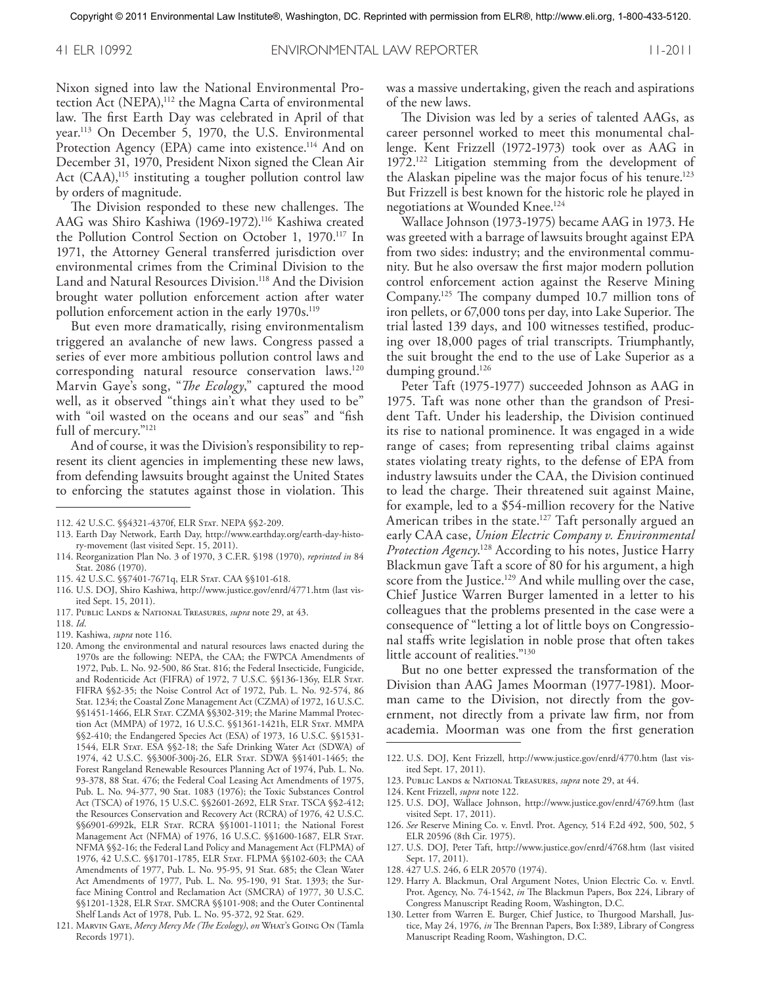Nixon signed into law the National Environmental Protection Act (NEPA),<sup>112</sup> the Magna Carta of environmental law. The first Earth Day was celebrated in April of that year. <sup>113</sup> On December 5, 1970, the U.S. Environmental Protection Agency (EPA) came into existence.<sup>114</sup> And on December 31, 1970, President Nixon signed the Clean Air Act (CAA),<sup>115</sup> instituting a tougher pollution control law by orders of magnitude.

The Division responded to these new challenges. The AAG was Shiro Kashiwa (1969-1972). <sup>116</sup> Kashiwa created the Pollution Control Section on October 1, 1970. <sup>117</sup> In 1971, the Attorney General transferred jurisdiction over environmental crimes from the Criminal Division to the Land and Natural Resources Division. <sup>118</sup> And the Division brought water pollution enforcement action after water pollution enforcement action in the early 1970s. 119

But even more dramatically, rising environmentalism triggered an avalanche of new laws. Congress passed a series of ever more ambitious pollution control laws and corresponding natural resource conservation laws. 120 Marvin Gaye's song, "*The Ecology*," captured the mood well, as it observed "things ain't what they used to be" with "oil wasted on the oceans and our seas" and "fish full of mercury."<sup>121</sup>

And of course, it was the Division's responsibility to represent its client agencies in implementing these new laws, from defending lawsuits brought against the United States to enforcing the statutes against those in violation. This

- 114. Reorganization Plan No. 3 of 1970, 3 C.F.R. §198 (1970), *reprinted in* 84 Stat. 2086 (1970).
- 115. 42 U.S.C. §§7401-7671q, ELR Stat. CAA §§101-618.
- 116. U.S. DOJ, Shiro Kashiwa, http://www.justice.gov/enrd/4771.htm (last visited Sept. 15, 2011).
- 117. Public Lands & National Treasures, *supra* note 29, at 43.
- 118. *Id*.
- 119. Kashiwa, *supra* note 116.
- 120. Among the environmental and natural resources laws enacted during the 1970s are the following: NEPA, the CAA; the FWPCA Amendments of 1972, Pub. L. No. 92-500, 86 Stat. 816; the Federal Insecticide, Fungicide, and Rodenticide Act (FIFRA) of 1972, 7 U.S.C. §§136-136y, ELR STAT. FIFRA §§2-35; the Noise Control Act of 1972, Pub. L. No. 92-574, 86 Stat. 1234; the Coastal Zone Management Act (CZMA) of 1972, 16 U.S.C. §§1451-1466, ELR STAT. CZMA §§302-319; the Marine Mammal Protection Act (MMPA) of 1972, 16 U.S.C. §§1361-1421h, ELR STAT. MMPA §§2-410; the Endangered Species Act (ESA) of 1973, 16 U.S.C. §§1531- 1544, ELR STAT. ESA §§2-18; the Safe Drinking Water Act (SDWA) of 1974, 42 U.S.C. §§300f-300j-26, ELR Stat. SDWA §§1401-1465; the Forest Rangeland Renewable Resources Planning Act of 1974, Pub. L. No. 93-378, 88 Stat. 476; the Federal Coal Leasing Act Amendments of 1975, Pub. L. No. 94-377, 90 Stat. 1083 (1976); the Toxic Substances Control Act (TSCA) of 1976, 15 U.S.C. §§2601-2692, ELR STAT. TSCA §§2-412; the Resources Conservation and Recovery Act (RCRA) of 1976, 42 U.S.C. §§6901-6992k, ELR STAT. RCRA §§1001-11011; the National Forest Management Act (NFMA) of 1976, 16 U.S.C. §§1600-1687, ELR Stat. NFMA §§2-16; the Federal Land Policy and Management Act (FLPMA) of 1976, 42 U.S.C. §§1701-1785, ELR Stat. FLPMA §§102-603; the CAA Amendments of 1977, Pub. L. No. 95-95, 91 Stat. 685; the Clean Water Act Amendments of 1977, Pub. L. No. 95-190, 91 Stat. 1393; the Surface Mining Control and Reclamation Act (SMCRA) of 1977, 30 U.S.C. §§1201-1328, ELR STAT. SMCRA §§101-908; and the Outer Continental Shelf Lands Act of 1978, Pub. L. No. 95-372, 92 Stat. 629.

was a massive undertaking, given the reach and aspirations of the new laws.

The Division was led by a series of talented AAGs, as career personnel worked to meet this monumental challenge. Kent Frizzell (1972-1973) took over as AAG in 1972. <sup>122</sup> Litigation stemming from the development of the Alaskan pipeline was the major focus of his tenure. 123 But Frizzell is best known for the historic role he played in negotiations at Wounded Knee. 124

Wallace Johnson (1973-1975) became AAG in 1973. He was greeted with a barrage of lawsuits brought against EPA from two sides: industry; and the environmental community. But he also oversaw the first major modern pollution control enforcement action against the Reserve Mining Company. <sup>125</sup> The company dumped 10.7 million tons of iron pellets, or 67,000 tons per day, into Lake Superior. The trial lasted 139 days, and 100 witnesses testified, producing over 18,000 pages of trial transcripts. Triumphantly, the suit brought the end to the use of Lake Superior as a dumping ground. 126

Peter Taft (1975-1977) succeeded Johnson as AAG in 1975. Taft was none other than the grandson of President Taft. Under his leadership, the Division continued its rise to national prominence. It was engaged in a wide range of cases; from representing tribal claims against states violating treaty rights, to the defense of EPA from industry lawsuits under the CAA, the Division continued to lead the charge. Their threatened suit against Maine, for example, led to a \$54-million recovery for the Native American tribes in the state. <sup>127</sup> Taft personally argued an early CAA case, *Union Electric Company v. Environmental Protection Agency*. <sup>128</sup> According to his notes, Justice Harry Blackmun gave Taft a score of 80 for his argument, a high score from the Justice. <sup>129</sup> And while mulling over the case, Chief Justice Warren Burger lamented in a letter to his colleagues that the problems presented in the case were a consequence of "letting a lot of little boys on Congressional staffs write legislation in noble prose that often takes little account of realities."130

But no one better expressed the transformation of the Division than AAG James Moorman (1977-1981). Moorman came to the Division, not directly from the government, not directly from a private law firm, nor from academia. Moorman was one from the first generation

- 124. Kent Frizzell, *supra* note 122.
- 125. U.S. DOJ, Wallace Johnson, http://www.justice.gov/enrd/4769.htm (last visited Sept. 17, 2011).
- 126. *See* Reserve Mining Co. v. Envtl. Prot. Agency, 514 F.2d 492, 500, 502, 5 ELR 20596 (8th Cir. 1975).
- 127. U.S. DOJ, Peter Taft, http://www.justice.gov/enrd/4768.htm (last visited Sept. 17, 2011).
- 128. 427 U.S. 246, 6 ELR 20570 (1974).
- 129. Harry A. Blackmun, Oral Argument Notes, Union Electric Co. v. Envtl. Prot. Agency, No. 74-1542, *in* The Blackmun Papers, Box 224, Library of Congress Manuscript Reading Room, Washington, D.C.
- 130. Letter from Warren E. Burger, Chief Justice, to Thurgood Marshall, Justice, May 24, 1976, *in* The Brennan Papers, Box I:389, Library of Congress Manuscript Reading Room, Washington, D.C.

<sup>112.</sup> 42 U.S.C. §§4321-4370f, ELR Stat. NEPA §§2-209.

<sup>113.</sup> Earth Day Network, Earth Day, http://www.earthday.org/earth-day-history-movement (last visited Sept. 15, 2011).

<sup>121.</sup> Marvin Gaye, *Mercy Mercy Me (The Ecology)*, *on* What's Going On (Tamla Records 1971).

<sup>122.</sup> U.S. DOJ, Kent Frizzell, http://www.justice.gov/enrd/4770.htm (last visited Sept. 17, 2011).

<sup>123.</sup> Public Lands & National Treasures, *supra* note 29, at 44.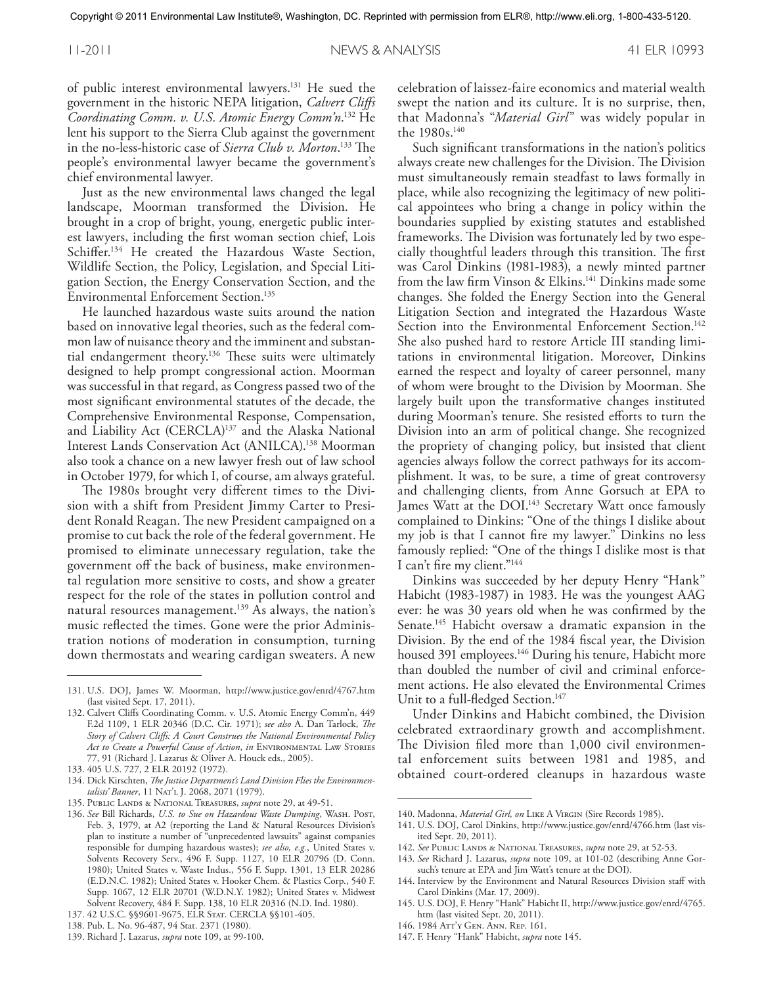of public interest environmental lawyers. <sup>131</sup> He sued the government in the historic NEPA litigation, *Calvert Cliffs Coordinating Comm. v. U.S. Atomic Energy Comm'n*. <sup>132</sup> He lent his support to the Sierra Club against the government in the no-less-historic case of *Sierra Club v. Morton*. <sup>133</sup> The people's environmental lawyer became the government's chief environmental lawyer.

Just as the new environmental laws changed the legal landscape, Moorman transformed the Division. He brought in a crop of bright, young, energetic public interest lawyers, including the first woman section chief, Lois Schiffer. <sup>134</sup> He created the Hazardous Waste Section, Wildlife Section, the Policy, Legislation, and Special Litigation Section, the Energy Conservation Section, and the Environmental Enforcement Section. 135

He launched hazardous waste suits around the nation based on innovative legal theories, such as the federal common law of nuisance theory and the imminent and substantial endangerment theory. <sup>136</sup> These suits were ultimately designed to help prompt congressional action. Moorman was successful in that regard, as Congress passed two of the most significant environmental statutes of the decade, the Comprehensive Environmental Response, Compensation, and Liability Act (CERCLA)<sup>137</sup> and the Alaska National Interest Lands Conservation Act (ANILCA). <sup>138</sup> Moorman also took a chance on a new lawyer fresh out of law school in October 1979, for which I, of course, am always grateful.

The 1980s brought very different times to the Division with a shift from President Jimmy Carter to President Ronald Reagan. The new President campaigned on a promise to cut back the role of the federal government. He promised to eliminate unnecessary regulation, take the government off the back of business, make environmental regulation more sensitive to costs, and show a greater respect for the role of the states in pollution control and natural resources management. <sup>139</sup> As always, the nation's music reflected the times. Gone were the prior Administration notions of moderation in consumption, turning down thermostats and wearing cardigan sweaters. A new

celebration of laissez-faire economics and material wealth swept the nation and its culture. It is no surprise, then, that Madonna's "*Material Girl* " was widely popular in the 1980s. 140

Such significant transformations in the nation's politics always create new challenges for the Division. The Division must simultaneously remain steadfast to laws formally in place, while also recognizing the legitimacy of new political appointees who bring a change in policy within the boundaries supplied by existing statutes and established frameworks. The Division was fortunately led by two especially thoughtful leaders through this transition. The first was Carol Dinkins (1981-1983), a newly minted partner from the law firm Vinson & Elkins. <sup>141</sup> Dinkins made some changes. She folded the Energy Section into the General Litigation Section and integrated the Hazardous Waste Section into the Environmental Enforcement Section.<sup>142</sup> She also pushed hard to restore Article III standing limitations in environmental litigation. Moreover, Dinkins earned the respect and loyalty of career personnel, many of whom were brought to the Division by Moorman. She largely built upon the transformative changes instituted during Moorman's tenure. She resisted efforts to turn the Division into an arm of political change. She recognized the propriety of changing policy, but insisted that client agencies always follow the correct pathways for its accomplishment. It was, to be sure, a time of great controversy and challenging clients, from Anne Gorsuch at EPA to James Watt at the DOI.<sup>143</sup> Secretary Watt once famously complained to Dinkins: "One of the things I dislike about my job is that I cannot fire my lawyer." Dinkins no less famously replied: "One of the things I dislike most is that I can't fire my client."<sup>144</sup>

Dinkins was succeeded by her deputy Henry "Hank" Habicht (1983-1987) in 1983. He was the youngest AAG ever: he was 30 years old when he was confirmed by the Senate. <sup>145</sup> Habicht oversaw a dramatic expansion in the Division. By the end of the 1984 fiscal year, the Division housed 391 employees. <sup>146</sup> During his tenure, Habicht more than doubled the number of civil and criminal enforcement actions. He also elevated the Environmental Crimes Unit to a full-fledged Section.<sup>147</sup>

Under Dinkins and Habicht combined, the Division celebrated extraordinary growth and accomplishment. The Division filed more than 1,000 civil environmental enforcement suits between 1981 and 1985, and obtained court-ordered cleanups in hazardous waste

- 145. U.S. DOJ, F. Henry "Hank" Habicht II, http://www.justice.gov/enrd/4765. htm (last visited Sept. 20, 2011).
- 146. 1984 Att'y Gen. Ann. Rep. 161.
- 147. F. Henry "Hank" Habicht, *supra* note 145.

<sup>131.</sup> U.S. DOJ, James W. Moorman, http://www.justice.gov/enrd/4767.htm (last visited Sept. 17, 2011).

<sup>132.</sup> Calvert Cliffs Coordinating Comm. v. U.S. Atomic Energy Comm'n, 449 F.2d 1109, 1 ELR 20346 (D.C. Cir. 1971); *see also* A. Dan Tarlock, *The Story of Calvert Cliffs: A Court Construes the National Environmental Policy Act to Create a Powerful Cause of Action*, *in* Environmental Law Stories 77, 91 (Richard J. Lazarus & Oliver A. Houck eds., 2005).

<sup>133.</sup> 405 U.S. 727, 2 ELR 20192 (1972).

<sup>134.</sup> Dick Kirschten, *The Justice Department's Land Division Flies the Environmentalists' Banner*, 11 Nat'l J. 2068, 2071 (1979).

<sup>135.</sup> Public Lands & National Treasures, *supra* note 29, at 49-51.

<sup>136.</sup> *See* Bill Richards, *U.S. to Sue on Hazardous Waste Dumping*, Wash. Post, Feb. 3, 1979, at A2 (reporting the Land & Natural Resources Division's plan to institute a number of "unprecedented lawsuits" against companies responsible for dumping hazardous wastes); *see also, e.g.*, United States v. Solvents Recovery Serv., 496 F. Supp. 1127, 10 ELR 20796 (D. Conn. 1980); United States v. Waste Indus., 556 F. Supp. 1301, 13 ELR 20286 (E.D.N.C. 1982); United States v. Hooker Chem. & Plastics Corp., 540 F. Supp. 1067, 12 ELR 20701 (W.D.N.Y. 1982); United States v. Midwest Solvent Recovery, 484 F. Supp. 138, 10 ELR 20316 (N.D. Ind. 1980).

<sup>137.</sup> 42 U.S.C. §§9601-9675, ELR Stat. CERCLA §§101-405.

<sup>138.</sup> Pub. L. No. 96-487, 94 Stat. 2371 (1980).

<sup>139.</sup> Richard J. Lazarus, *supra* note 109, at 99-100.

<sup>140.</sup> Madonna, *Material Girl, on* Like A Virgin (Sire Records 1985).

<sup>141.</sup> U.S. DOJ, Carol Dinkins, http://www.justice.gov/enrd/4766.htm (last visited Sept. 20, 2011).

<sup>142.</sup> *See* Public Lands & National Treasures, *supra* note 29, at 52-53.

<sup>143.</sup> *See* Richard J. Lazarus, *supra* note 109, at 101-02 (describing Anne Gorsuch's tenure at EPA and Jim Watt's tenure at the DOI).

<sup>144.</sup> Interview by the Environment and Natural Resources Division staff with Carol Dinkins (Mar. 17, 2009).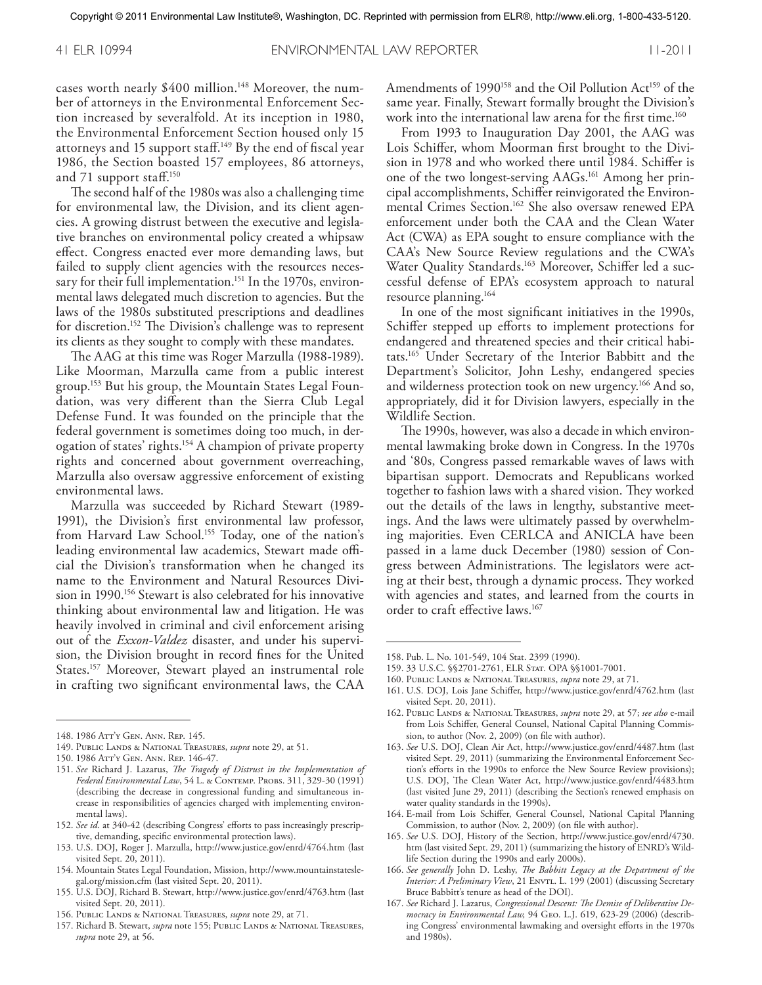cases worth nearly \$400 million. <sup>148</sup> Moreover, the number of attorneys in the Environmental Enforcement Section increased by severalfold. At its inception in 1980, the Environmental Enforcement Section housed only 15 attorneys and 15 support staff.<sup>149</sup> By the end of fiscal year 1986, the Section boasted 157 employees, 86 attorneys, and 71 support staff. 150

The second half of the 1980s was also a challenging time for environmental law, the Division, and its client agencies. A growing distrust between the executive and legislative branches on environmental policy created a whipsaw effect. Congress enacted ever more demanding laws, but failed to supply client agencies with the resources necessary for their full implementation. <sup>151</sup> In the 1970s, environmental laws delegated much discretion to agencies. But the laws of the 1980s substituted prescriptions and deadlines for discretion. <sup>152</sup> The Division's challenge was to represent its clients as they sought to comply with these mandates.

The AAG at this time was Roger Marzulla (1988-1989). Like Moorman, Marzulla came from a public interest group. <sup>153</sup> But his group, the Mountain States Legal Foundation, was very different than the Sierra Club Legal Defense Fund. It was founded on the principle that the federal government is sometimes doing too much, in derogation of states' rights. <sup>154</sup> A champion of private property rights and concerned about government overreaching, Marzulla also oversaw aggressive enforcement of existing environmental laws.

Marzulla was succeeded by Richard Stewart (1989- 1991), the Division's first environmental law professor, from Harvard Law School. <sup>155</sup> Today, one of the nation's leading environmental law academics, Stewart made official the Division's transformation when he changed its name to the Environment and Natural Resources Division in 1990. <sup>156</sup> Stewart is also celebrated for his innovative thinking about environmental law and litigation. He was heavily involved in criminal and civil enforcement arising out of the *Exxon-Valdez* disaster, and under his supervision, the Division brought in record fines for the United States. <sup>157</sup> Moreover, Stewart played an instrumental role in crafting two significant environmental laws, the CAA

- 153. U.S. DOJ, Roger J. Marzulla, http://www.justice.gov/enrd/4764.htm (last visited Sept. 20, 2011).
- 154. Mountain States Legal Foundation, Mission, http://www.mountainstateslegal.org/mission.cfm (last visited Sept. 20, 2011).
- 155. U.S. DOJ, Richard B. Stewart, http://www.justice.gov/enrd/4763.htm (last visited Sept. 20, 2011).
- 156. Public Lands & National Treasures, *supra* note 29, at 71.
- 157. Richard B. Stewart, *supra* note 155; PUBLIC LANDS & NATIONAL TREASURES, *supra* note 29, at 56.

Amendments of 1990<sup>158</sup> and the Oil Pollution Act<sup>159</sup> of the same year. Finally, Stewart formally brought the Division's work into the international law arena for the first time. 160

From 1993 to Inauguration Day 2001, the AAG was Lois Schiffer, whom Moorman first brought to the Division in 1978 and who worked there until 1984. Schiffer is one of the two longest-serving AAGs. <sup>161</sup> Among her principal accomplishments, Schiffer reinvigorated the Environmental Crimes Section. <sup>162</sup> She also oversaw renewed EPA enforcement under both the CAA and the Clean Water Act (CWA) as EPA sought to ensure compliance with the CAA's New Source Review regulations and the CWA's Water Quality Standards. <sup>163</sup> Moreover, Schiffer led a successful defense of EPA's ecosystem approach to natural resource planning. 164

In one of the most significant initiatives in the 1990s, Schiffer stepped up efforts to implement protections for endangered and threatened species and their critical habitats. <sup>165</sup> Under Secretary of the Interior Babbitt and the Department's Solicitor, John Leshy, endangered species and wilderness protection took on new urgency. <sup>166</sup> And so, appropriately, did it for Division lawyers, especially in the Wildlife Section.

The 1990s, however, was also a decade in which environmental lawmaking broke down in Congress. In the 1970s and '80s, Congress passed remarkable waves of laws with bipartisan support. Democrats and Republicans worked together to fashion laws with a shared vision. They worked out the details of the laws in lengthy, substantive meetings. And the laws were ultimately passed by overwhelming majorities. Even CERLCA and ANICLA have been passed in a lame duck December (1980) session of Congress between Administrations. The legislators were acting at their best, through a dynamic process. They worked with agencies and states, and learned from the courts in order to craft effective laws. 167

- 163. *See* U.S. DOJ, Clean Air Act, http://www.justice.gov/enrd/4487.htm (last visited Sept. 29, 2011) (summarizing the Environmental Enforcement Section's efforts in the 1990s to enforce the New Source Review provisions); U.S. DOJ, The Clean Water Act, http://www.justice.gov/enrd/4483.htm (last visited June 29, 2011) (describing the Section's renewed emphasis on water quality standards in the 1990s).
- 164. E-mail from Lois Schiffer, General Counsel, National Capital Planning Commission, to author (Nov. 2, 2009) (on file with author).
- 165. *See* U.S. DOJ, History of the Section, http://www.justice.gov/enrd/4730. htm (last visited Sept. 29, 2011) (summarizing the history of ENRD's Wildlife Section during the 1990s and early 2000s).
- 166. *See generally* John D. Leshy, *The Babbitt Legacy at the Department of the Interior: A Preliminary View*, 21 Envrt. L. 199 (2001) (discussing Secretary Bruce Babbitt's tenure as head of the DOI).
- 167. *See* Richard J. Lazarus, *Congressional Descent: The Demise of Deliberative Democracy in Environmental Law,* 94 Geo. L.J. 619, 623-29 (2006) (describing Congress' environmental lawmaking and oversight efforts in the 1970s and 1980s).

<sup>148.</sup> 1986 Att'y Gen. Ann. Rep. 145.

<sup>149.</sup> Public Lands & National Treasures, *supra* note 29, at 51.

<sup>150.</sup> 1986 Att'y Gen. Ann. Rep. 146-47.

<sup>151.</sup> *See* Richard J. Lazarus, *The Tragedy of Distrust in the Implementation of Federal Environmental Law*, 54 L. & Contemp. Probs. 311, 329-30 (1991) (describing the decrease in congressional funding and simultaneous increase in responsibilities of agencies charged with implementing environmental laws).

<sup>152.</sup> *See id*. at 340-42 (describing Congress' efforts to pass increasingly prescriptive, demanding, specific environmental protection laws).

<sup>158.</sup> Pub. L. No. 101-549, 104 Stat. 2399 (1990).

<sup>159.</sup> 33 U.S.C. §§2701-2761, ELR Stat. OPA §§1001-7001.

<sup>160.</sup> Public Lands & National Treasures, *supra* note 29, at 71.

<sup>161.</sup> U.S. DOJ, Lois Jane Schiffer, http://www.justice.gov/enrd/4762.htm (last visited Sept. 20, 2011).

<sup>162.</sup> Public Lands & National Treasures, *supra* note 29, at 57; *see also* e-mail from Lois Schiffer, General Counsel, National Capital Planning Commission, to author (Nov. 2, 2009) (on file with author).